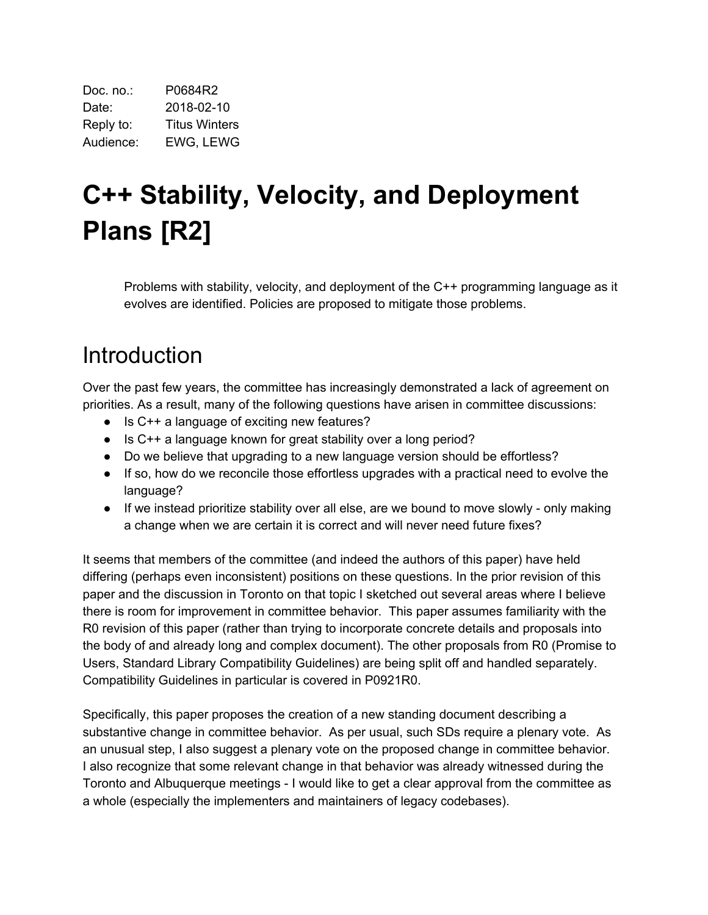| Doc. no.: | P0684R2              |
|-----------|----------------------|
| Date:     | 2018-02-10           |
| Reply to: | <b>Titus Winters</b> |
| Audience: | EWG, LEWG            |

# **C++ Stability, Velocity, and Deployment Plans [R2]**

Problems with stability, velocity, and deployment of the C++ programming language as it evolves are identified. Policies are proposed to mitigate those problems.

## Introduction

Over the past few years, the committee has increasingly demonstrated a lack of agreement on priorities. As a result, many of the following questions have arisen in committee discussions:

- Is C++ a language of exciting new features?
- Is C++ a language known for great stability over a long period?
- Do we believe that upgrading to a new language version should be effortless?
- If so, how do we reconcile those effortless upgrades with a practical need to evolve the language?
- If we instead prioritize stability over all else, are we bound to move slowly only making a change when we are certain it is correct and will never need future fixes?

It seems that members of the committee (and indeed the authors of this paper) have held differing (perhaps even inconsistent) positions on these questions. In the prior revision of this paper and the discussion in Toronto on that topic I sketched out several areas where I believe there is room for improvement in committee behavior. This paper assumes familiarity with the R0 revision of this paper (rather than trying to incorporate concrete details and proposals into the body of and already long and complex document). The other proposals from R0 (Promise to Users, Standard Library Compatibility Guidelines) are being split off and handled separately. Compatibility Guidelines in particular is covered in P0921R0.

Specifically, this paper proposes the creation of a new standing document describing a substantive change in committee behavior. As per usual, such SDs require a plenary vote. As an unusual step, I also suggest a plenary vote on the proposed change in committee behavior. I also recognize that some relevant change in that behavior was already witnessed during the Toronto and Albuquerque meetings - I would like to get a clear approval from the committee as a whole (especially the implementers and maintainers of legacy codebases).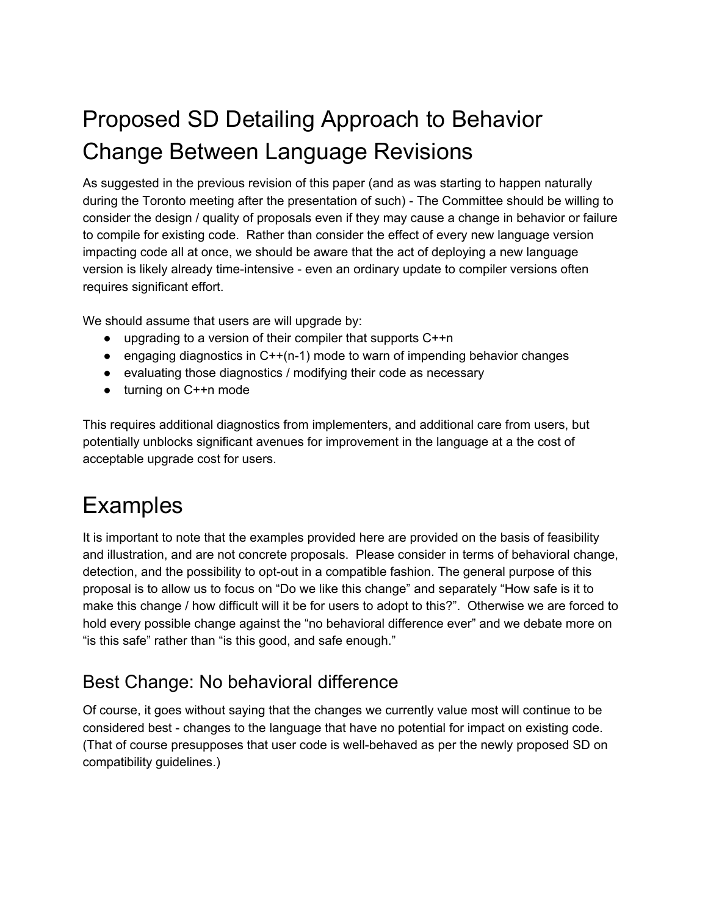## Proposed SD Detailing Approach to Behavior Change Between Language Revisions

As suggested in the previous revision of this paper (and as was starting to happen naturally during the Toronto meeting after the presentation of such) - The Committee should be willing to consider the design / quality of proposals even if they may cause a change in behavior or failure to compile for existing code. Rather than consider the effect of every new language version impacting code all at once, we should be aware that the act of deploying a new language version is likely already time-intensive - even an ordinary update to compiler versions often requires significant effort.

We should assume that users are will upgrade by:

- upgrading to a version of their compiler that supports C++n
- engaging diagnostics in C++(n-1) mode to warn of impending behavior changes
- evaluating those diagnostics / modifying their code as necessary
- turning on C++n mode

This requires additional diagnostics from implementers, and additional care from users, but potentially unblocks significant avenues for improvement in the language at a the cost of acceptable upgrade cost for users.

## Examples

It is important to note that the examples provided here are provided on the basis of feasibility and illustration, and are not concrete proposals. Please consider in terms of behavioral change, detection, and the possibility to opt-out in a compatible fashion. The general purpose of this proposal is to allow us to focus on "Do we like this change" and separately "How safe is it to make this change / how difficult will it be for users to adopt to this?". Otherwise we are forced to hold every possible change against the "no behavioral difference ever" and we debate more on "is this safe" rather than "is this good, and safe enough."

#### Best Change: No behavioral difference

Of course, it goes without saying that the changes we currently value most will continue to be considered best - changes to the language that have no potential for impact on existing code. (That of course presupposes that user code is well-behaved as per the newly proposed SD on compatibility guidelines.)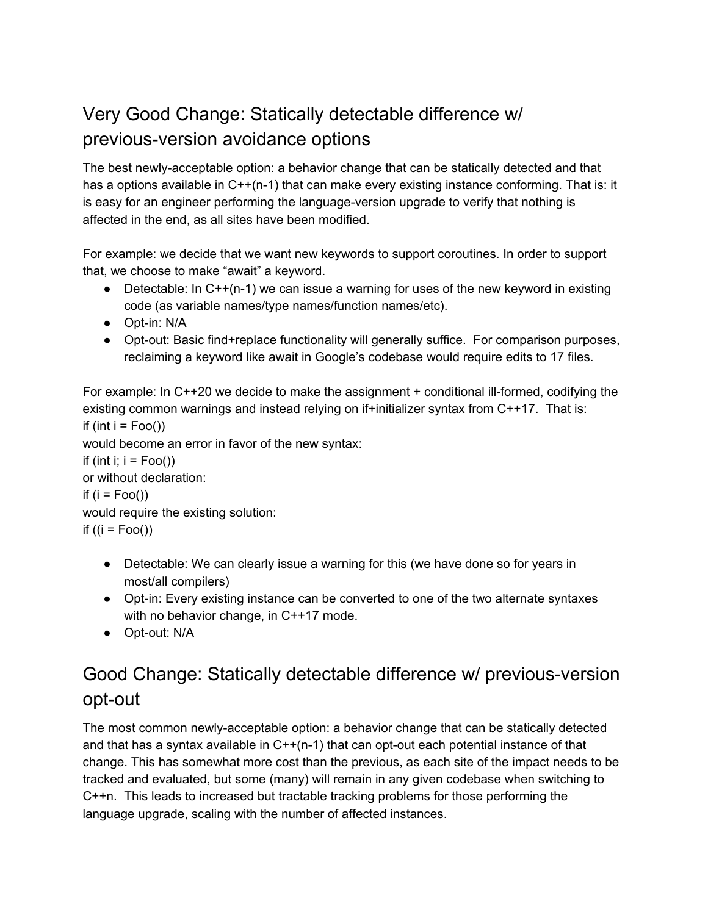#### Very Good Change: Statically detectable difference w/ previous-version avoidance options

The best newly-acceptable option: a behavior change that can be statically detected and that has a options available in C++(n-1) that can make every existing instance conforming. That is: it is easy for an engineer performing the language-version upgrade to verify that nothing is affected in the end, as all sites have been modified.

For example: we decide that we want new keywords to support coroutines. In order to support that, we choose to make "await" a keyword.

- Detectable: In  $C^{++}(n-1)$  we can issue a warning for uses of the new keyword in existing code (as variable names/type names/function names/etc).
- Opt-in: N/A
- Opt-out: Basic find+replace functionality will generally suffice. For comparison purposes, reclaiming a keyword like await in Google's codebase would require edits to 17 files.

For example: In  $C++20$  we decide to make the assignment  $+$  conditional ill-formed, codifying the existing common warnings and instead relying on if+initializer syntax from C++17. That is: if (int  $i = Foo()$ ) would become an error in favor of the new syntax: if (int i;  $i = Foo()$ ) or without declaration: if  $(i = Foo()$ would require the existing solution: if  $((i = Foo())$ 

- Detectable: We can clearly issue a warning for this (we have done so for years in most/all compilers)
- Opt-in: Every existing instance can be converted to one of the two alternate syntaxes with no behavior change, in C++17 mode.
- Opt-out: N/A

#### Good Change: Statically detectable difference w/ previous-version opt-out

The most common newly-acceptable option: a behavior change that can be statically detected and that has a syntax available in C++(n-1) that can opt-out each potential instance of that change. This has somewhat more cost than the previous, as each site of the impact needs to be tracked and evaluated, but some (many) will remain in any given codebase when switching to C++n. This leads to increased but tractable tracking problems for those performing the language upgrade, scaling with the number of affected instances.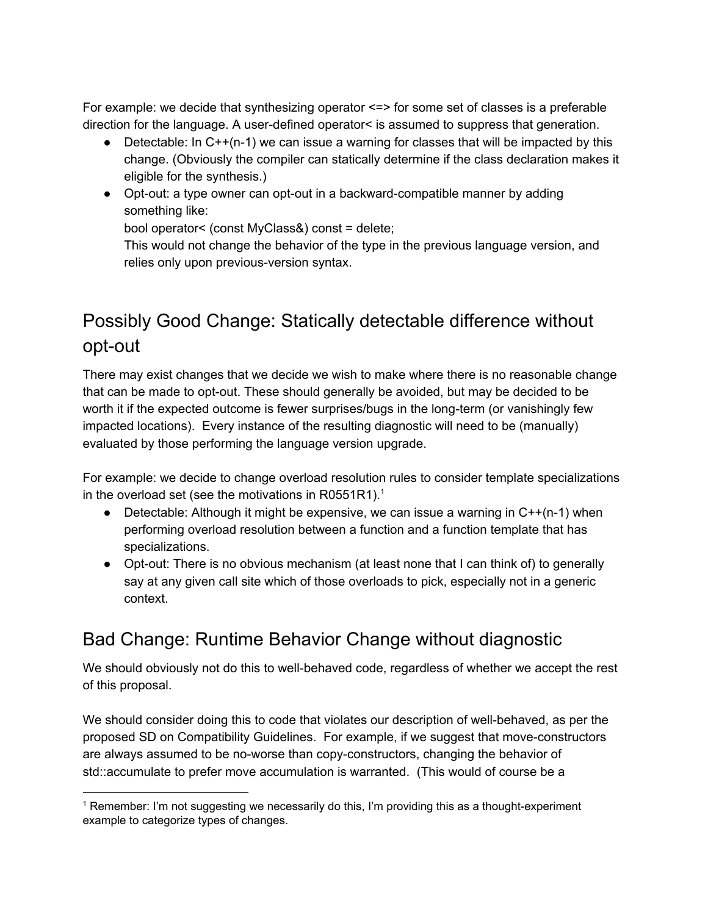For example: we decide that synthesizing operator  $\le$  => for some set of classes is a preferable direction for the language. A user-defined operator< is assumed to suppress that generation.

- Detectable: In  $C^{++}(n-1)$  we can issue a warning for classes that will be impacted by this change. (Obviously the compiler can statically determine if the class declaration makes it eligible for the synthesis.)
- Opt-out: a type owner can opt-out in a backward-compatible manner by adding something like:

bool operator< (const MyClass&) const = delete;

This would not change the behavior of the type in the previous language version, and relies only upon previous-version syntax.

### Possibly Good Change: Statically detectable difference without opt-out

There may exist changes that we decide we wish to make where there is no reasonable change that can be made to opt-out. These should generally be avoided, but may be decided to be worth it if the expected outcome is fewer surprises/bugs in the long-term (or vanishingly few impacted locations). Every instance of the resulting diagnostic will need to be (manually) evaluated by those performing the language version upgrade.

For example: we decide to change overload resolution rules to consider template specializations in the overload set (see the motivations in R0551R1).<sup>1</sup>

- Detectable: Although it might be expensive, we can issue a warning in  $C++(n-1)$  when performing overload resolution between a function and a function template that has specializations.
- Opt-out: There is no obvious mechanism (at least none that I can think of) to generally say at any given call site which of those overloads to pick, especially not in a generic context.

#### Bad Change: Runtime Behavior Change without diagnostic

We should obviously not do this to well-behaved code, regardless of whether we accept the rest of this proposal.

We should consider doing this to code that violates our description of well-behaved, as per the proposed SD on Compatibility Guidelines. For example, if we suggest that move-constructors are always assumed to be no-worse than copy-constructors, changing the behavior of std::accumulate to prefer move accumulation is warranted. (This would of course be a

<sup>1</sup> Remember: I'm not suggesting we necessarily do this, I'm providing this as a thought-experiment example to categorize types of changes.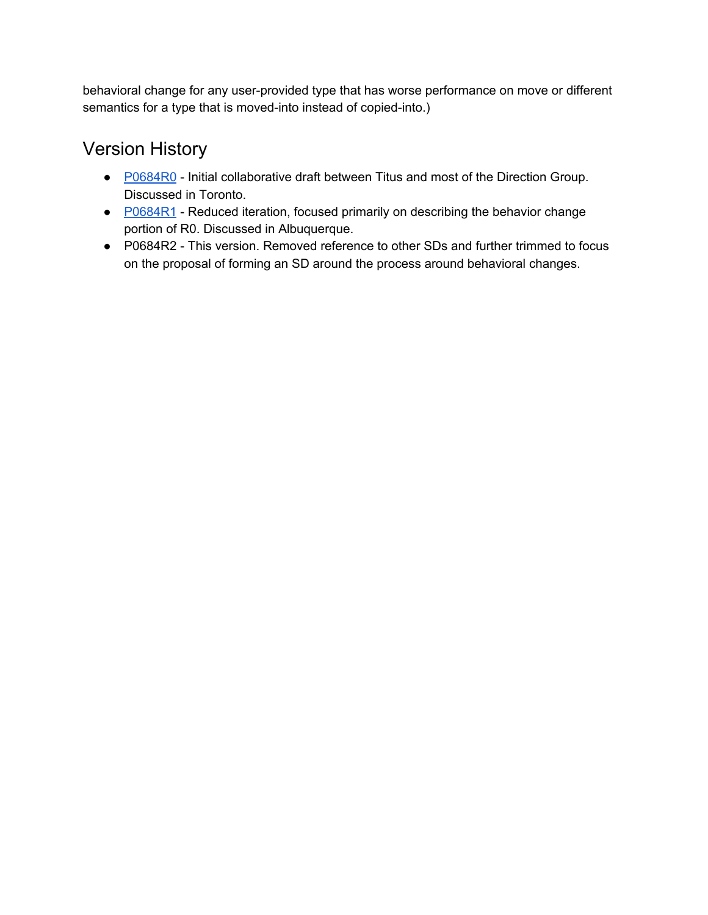behavioral change for any user-provided type that has worse performance on move or different semantics for a type that is moved-into instead of copied-into.)

#### Version History

- [P0684R0](http://wg21.link/P0684R0) Initial collaborative draft between Titus and most of the Direction Group. Discussed in Toronto.
- [P0684R1](http://wg21.link/P0684R1) Reduced iteration, focused primarily on describing the behavior change portion of R0. Discussed in Albuquerque.
- P0684R2 This version. Removed reference to other SDs and further trimmed to focus on the proposal of forming an SD around the process around behavioral changes.